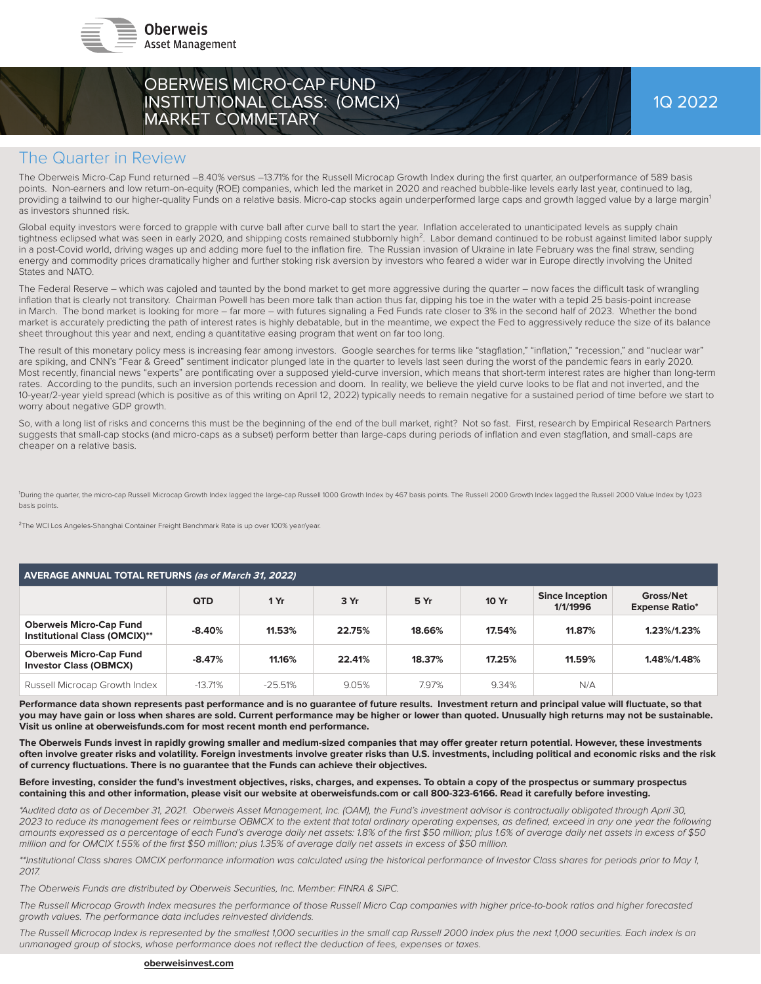

|                         | <b>OBERWEIS MICRO-CAP FUND</b> |                                     |
|-------------------------|--------------------------------|-------------------------------------|
|                         |                                | <b>INSTITUTIONAL CLASS: (OMCIX)</b> |
| <b>MARKET COMMETARY</b> |                                |                                     |

### The Quarter in Review

The Oberweis Micro-Cap Fund returned -8.40% versus -13.71% for the Russell Microcap Growth Index during the first quarter, an outperformance of 589 basis points. Non-earners and low return-on-equity (ROE) companies, which led the market in 2020 and reached bubble-like levels early last year, continued to lag, providing a tailwind to our higher-quality Funds on a relative basis. Micro-cap stocks again underperformed large caps and growth lagged value by a large margin<sup>1</sup> as investors shunned risk.

Global equity investors were forced to grapple with curve ball after curve ball to start the year. Inflation accelerated to unanticipated levels as supply chain tightness eclipsed what was seen in early 2020, and shipping costs remained stubbornly high<sup>2</sup>. Labor demand continued to be robust against limited labor supply in a post-Covid world, driving wages up and adding more fuel to the inflation fire. The Russian invasion of Ukraine in late February was the final straw, sending energy and commodity prices dramatically higher and further stoking risk aversion by investors who feared a wider war in Europe directly involving the United States and NATO.

The Federal Reserve – which was cajoled and taunted by the bond market to get more aggressive during the quarter – now faces the difficult task of wrangling inflation that is clearly not transitory. Chairman Powell has been more talk than action thus far, dipping his toe in the water with a tepid 25 basis-point increase in March. The bond market is looking for more – far more – with futures signaling a Fed Funds rate closer to 3% in the second half of 2023. Whether the bond market is accurately predicting the path of interest rates is highly debatable, but in the meantime, we expect the Fed to aggressively reduce the size of its balance sheet throughout this year and next, ending a quantitative easing program that went on far too long.

The result of this monetary policy mess is increasing fear among investors. Google searches for terms like "stagflation," "inflation," "recession," and "nuclear war" are spiking, and CNN's "Fear & Greed" sentiment indicator plunged late in the quarter to levels last seen during the worst of the pandemic fears in early 2020. Most recently, financial news "experts" are pontificating over a supposed yield-curve inversion, which means that short-term interest rates are higher than long-term rates. According to the pundits, such an inversion portends recession and doom. In reality, we believe the yield curve looks to be flat and not inverted, and the 10-year/2-year yield spread (which is positive as of this writing on April 12, 2022) typically needs to remain negative for a sustained period of time before we start to worry about negative GDP growth.

So, with a long list of risks and concerns this must be the beginning of the end of the bull market, right? Not so fast. First, research by Empirical Research Partners suggests that small-cap stocks (and micro-caps as a subset) perform better than large-caps during periods of inflation and even stagflation, and small-caps are cheaper on a relative basis.

<sup>1</sup>During the quarter, the micro-cap Russell Microcap Growth Index lagged the large-cap Russell 1000 Growth Index by 467 basis points. The Russell 2000 Growth Index lagged the Russell 2000 Value Index by 1,023 basis points.

²The WCI Los Angeles-Shanghai Container Freight Benchmark Rate is up over 100% year/year.

| <b>AVERAGE ANNUAL TOTAL RETURNS (as of March 31, 2022)</b>             |            |           |        |        |        |                                    |                                    |  |  |  |
|------------------------------------------------------------------------|------------|-----------|--------|--------|--------|------------------------------------|------------------------------------|--|--|--|
|                                                                        | <b>QTD</b> | 1Yr       | 3 Yr   | 5 Yr   | 10 Yr  | <b>Since Inception</b><br>1/1/1996 | Gross/Net<br><b>Expense Ratio*</b> |  |  |  |
| <b>Oberweis Micro-Cap Fund</b><br><b>Institutional Class (OMCIX)**</b> | $-8.40\%$  | 11.53%    | 22.75% | 18.66% | 17.54% | 11.87%                             | 1.23%/1.23%                        |  |  |  |
| <b>Oberweis Micro-Cap Fund</b><br><b>Investor Class (OBMCX)</b>        | $-8.47%$   | 11.16%    | 22.41% | 18.37% | 17.25% | 11.59%                             | 1.48%/1.48%                        |  |  |  |
| Russell Microcap Growth Index                                          | $-13.71%$  | $-25.51%$ | 9.05%  | 7.97%  | 9.34%  | N/A                                |                                    |  |  |  |

Performance data shown represents past performance and is no guarantee of future results. Investment return and principal value will fluctuate, so that **you may have gain or loss when shares are sold. Current performance may be higher or lower than quoted. Unusually high returns may not be sustainable. Visit us online at oberweisfunds.com for most recent month end performance.** 

The Oberweis Funds invest in rapidly growing smaller and medium-sized companies that may offer greater return potential. However, these investments **often involve greater risks and volatility. Foreign investments involve greater risks than U.S. investments, including political and economic risks and the risk of currency fl uctuations. There is no guarantee that the Funds can achieve their objectives.**

**Before investing, consider the fund's investment objectives, risks, charges, and expenses. To obtain a copy of the prospectus or summary prospectus containing this and other information, please visit our website at oberweisfunds.com or call 800-323-6166. Read it carefully before investing.** 

*\*Audited data as of December 31, 2021. Oberweis Asset Management, Inc. (OAM), the Fund's investment advisor is contractually obligated through April 30,*  2023 to reduce its management fees or reimburse OBMCX to the extent that total ordinary operating expenses, as defined, exceed in any one year the following amounts expressed as a percentage of each Fund's average daily net assets: 1.8% of the first \$50 million; plus 1.6% of average daily net assets in excess of \$50 *million and for OMCIX 1.55% of the first \$50 million; plus 1.35% of average daily net assets in excess of \$50 million.* 

*\*\*Institutional Class shares OMCIX performance information was calculated using the historical performance of Investor Class shares for periods prior to May 1, 2017.*

*The Oberweis Funds are distributed by Oberweis Securities, Inc. Member: FINRA & SIPC.*

*The Russell Microcap Growth Index measures the performance of those Russell Micro Cap companies with higher price-to-book ratios and higher forecasted growth values. The performance data includes reinvested dividends.*

*The Russell Microcap Index is represented by the smallest 1,000 securities in the small cap Russell 2000 Index plus the next 1,000 securities. Each index is an*  unmanaged group of stocks, whose performance does not reflect the deduction of fees, expenses or taxes.

#### **oberweisinvest.com**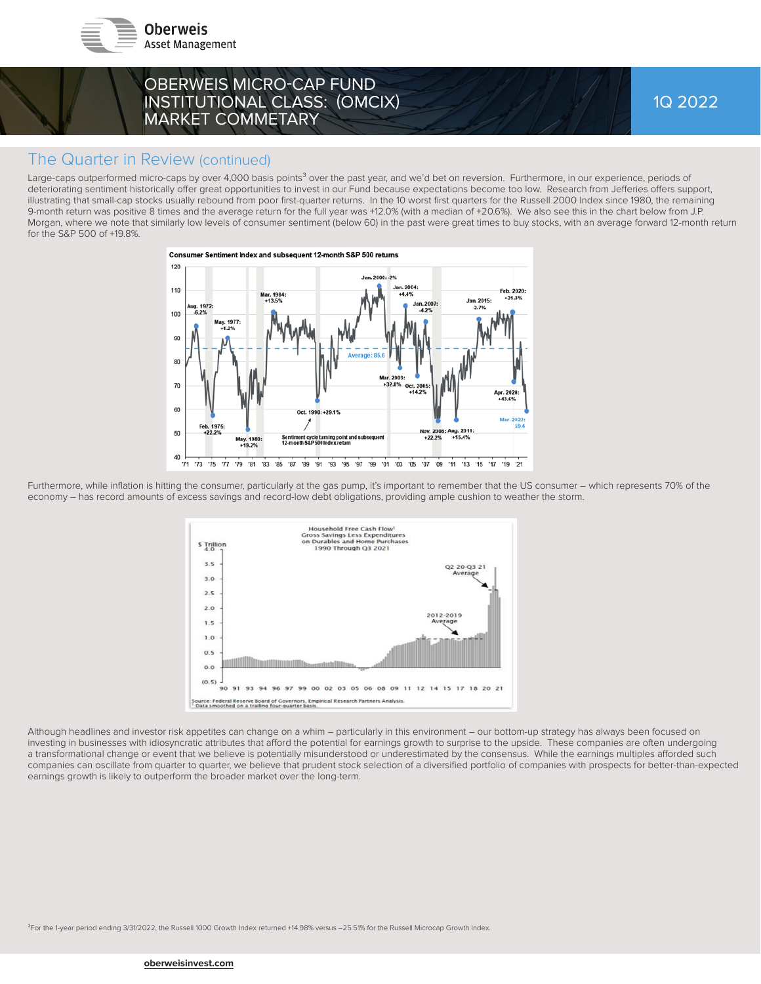



#### The Quarter in Review (continued)

Large-caps outperformed micro-caps by over 4,000 basis points<sup>3</sup> over the past year, and we'd bet on reversion. Furthermore, in our experience, periods of deteriorating sentiment historically offer great opportunities to invest in our Fund because expectations become too low. Research from Jefferies offers support, illustrating that small-cap stocks usually rebound from poor first-quarter returns. In the 10 worst first quarters for the Russell 2000 Index since 1980, the remaining 9-month return was positive 8 times and the average return for the full year was +12.0% (with a median of +20.6%). We also see this in the chart below from J.P. Morgan, where we note that similarly low levels of consumer sentiment (below 60) in the past were great times to buy stocks, with an average forward 12-month return for the S&P 500 of +19.8%.



Furthermore, while inflation is hitting the consumer, particularly at the gas pump, it's important to remember that the US consumer – which represents 70% of the economy – has record amounts of excess savings and record-low debt obligations, providing ample cushion to weather the storm.



Although headlines and investor risk appetites can change on a whim – particularly in this environment – our bottom-up strategy has always been focused on investing in businesses with idiosyncratic attributes that afford the potential for earnings growth to surprise to the upside. These companies are often undergoing a transformational change or event that we believe is potentially misunderstood or underestimated by the consensus. While the earnings multiples afforded such companies can oscillate from quarter to quarter, we believe that prudent stock selection of a diversified portfolio of companies with prospects for better-than-expected earnings growth is likely to outperform the broader market over the long-term.

<sup>3</sup>For the 1-year period ending 3/31/2022, the Russell 1000 Growth Index returned +14.98% versus -25.51% for the Russell Microcap Growth Index.